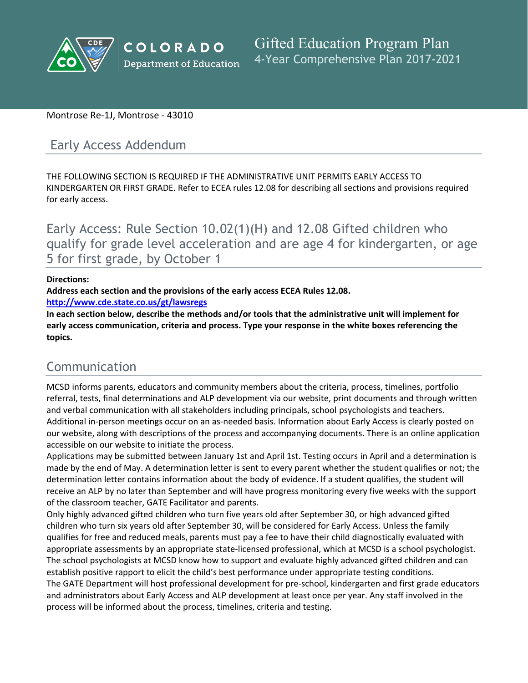

### Montrose Re-1J, Montrose - 43010

# Early Access Addendum

THE FOLLOWING SECTION IS REQUIRED IF THE ADMINISTRATIVE UNIT PERMITS EARLY ACCESS TO KINDERGARTEN OR FIRST GRADE. Refer to ECEA rules 12.08 for describing all sections and provisions required for early access.

Early Access: Rule Section 10.02(1)(H) and 12.08 Gifted children who qualify for grade level acceleration and are age 4 for kindergarten, or age 5 for first grade, by October 1

#### **Directions:**

**Address each section and the provisions of the early access ECEA Rules 12.08.**

**<http://www.cde.state.co.us/gt/lawsregs>**

**In each section below, describe the methods and/or tools that the administrative unit will implement for early access communication, criteria and process. Type your response in the white boxes referencing the topics.**

# Communication

MCSD informs parents, educators and community members about the criteria, process, timelines, portfolio referral, tests, final determinations and ALP development via our website, print documents and through written and verbal communication with all stakeholders including principals, school psychologists and teachers. Additional in-person meetings occur on an as-needed basis. Information about Early Access is clearly posted on our website, along with descriptions of the process and accompanying documents. There is an online application accessible on our website to initiate the process.

Applications may be submitted between January 1st and April 1st. Testing occurs in April and a determination is made by the end of May. A determination letter is sent to every parent whether the student qualifies or not; the determination letter contains information about the body of evidence. If a student qualifies, the student will receive an ALP by no later than September and will have progress monitoring every five weeks with the support of the classroom teacher, GATE Facilitator and parents.

Only highly advanced gifted children who turn five years old after September 30, or high advanced gifted children who turn six years old after September 30, will be considered for Early Access. Unless the family qualifies for free and reduced meals, parents must pay a fee to have their child diagnostically evaluated with appropriate assessments by an appropriate state-licensed professional, which at MCSD is a school psychologist. The school psychologists at MCSD know how to support and evaluate highly advanced gifted children and can establish positive rapport to elicit the child's best performance under appropriate testing conditions. The GATE Department will host professional development for pre-school, kindergarten and first grade educators and administrators about Early Access and ALP development at least once per year. Any staff involved in the process will be informed about the process, timelines, criteria and testing.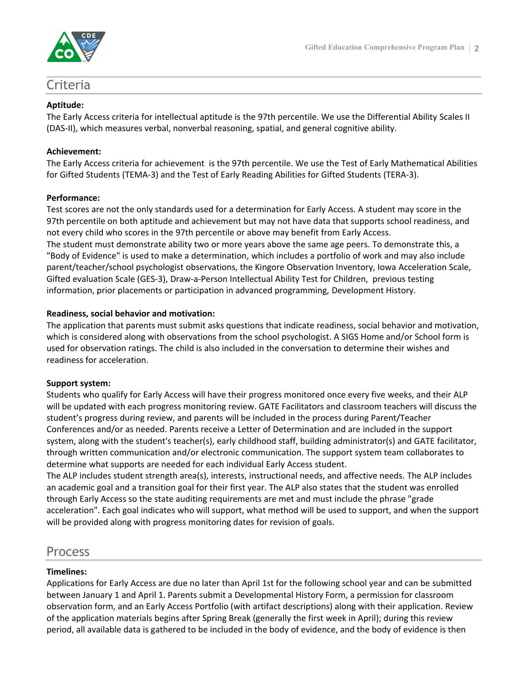

## Criteria

#### **Aptitude:**

The Early Access criteria for intellectual aptitude is the 97th percentile. We use the Differential Ability Scales II (DAS-II), which measures verbal, nonverbal reasoning, spatial, and general cognitive ability.

#### **Achievement:**

The Early Access criteria for achievement is the 97th percentile. We use the Test of Early Mathematical Abilities for Gifted Students (TEMA-3) and the Test of Early Reading Abilities for Gifted Students (TERA-3).

#### **Performance:**

Test scores are not the only standards used for a determination for Early Access. A student may score in the 97th percentile on both aptitude and achievement but may not have data that supports school readiness, and not every child who scores in the 97th percentile or above may benefit from Early Access. The student must demonstrate ability two or more years above the same age peers. To demonstrate this, a "Body of Evidence" is used to make a determination, which includes a portfolio of work and may also include parent/teacher/school psychologist observations, the Kingore Observation Inventory, Iowa Acceleration Scale, Gifted evaluation Scale (GES-3), Draw-a-Person Intellectual Ability Test for Children, previous testing information, prior placements or participation in advanced programming, Development History.

#### **Readiness, social behavior and motivation:**

The application that parents must submit asks questions that indicate readiness, social behavior and motivation, which is considered along with observations from the school psychologist. A SIGS Home and/or School form is used for observation ratings. The child is also included in the conversation to determine their wishes and readiness for acceleration.

#### **Support system:**

Students who qualify for Early Access will have their progress monitored once every five weeks, and their ALP will be updated with each progress monitoring review. GATE Facilitators and classroom teachers will discuss the student's progress during review, and parents will be included in the process during Parent/Teacher Conferences and/or as needed. Parents receive a Letter of Determination and are included in the support system, along with the student's teacher(s), early childhood staff, building administrator(s) and GATE facilitator, through written communication and/or electronic communication. The support system team collaborates to determine what supports are needed for each individual Early Access student.

The ALP includes student strength area(s), interests, instructional needs, and affective needs. The ALP includes an academic goal and a transition goal for their first year. The ALP also states that the student was enrolled through Early Access so the state auditing requirements are met and must include the phrase "grade acceleration". Each goal indicates who will support, what method will be used to support, and when the support will be provided along with progress monitoring dates for revision of goals.

# Process

#### **Timelines:**

Applications for Early Access are due no later than April 1st for the following school year and can be submitted between January 1 and April 1. Parents submit a Developmental History Form, a permission for classroom observation form, and an Early Access Portfolio (with artifact descriptions) along with their application. Review of the application materials begins after Spring Break (generally the first week in April); during this review period, all available data is gathered to be included in the body of evidence, and the body of evidence is then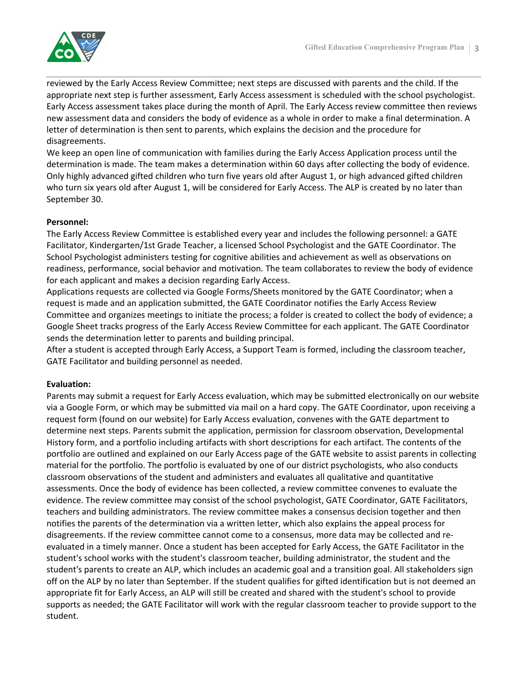

reviewed by the Early Access Review Committee; next steps are discussed with parents and the child. If the appropriate next step is further assessment, Early Access assessment is scheduled with the school psychologist. Early Access assessment takes place during the month of April. The Early Access review committee then reviews new assessment data and considers the body of evidence as a whole in order to make a final determination. A letter of determination is then sent to parents, which explains the decision and the procedure for disagreements.

We keep an open line of communication with families during the Early Access Application process until the determination is made. The team makes a determination within 60 days after collecting the body of evidence. Only highly advanced gifted children who turn five years old after August 1, or high advanced gifted children who turn six years old after August 1, will be considered for Early Access. The ALP is created by no later than September 30.

#### **Personnel:**

The Early Access Review Committee is established every year and includes the following personnel: a GATE Facilitator, Kindergarten/1st Grade Teacher, a licensed School Psychologist and the GATE Coordinator. The School Psychologist administers testing for cognitive abilities and achievement as well as observations on readiness, performance, social behavior and motivation. The team collaborates to review the body of evidence for each applicant and makes a decision regarding Early Access.

Applications requests are collected via Google Forms/Sheets monitored by the GATE Coordinator; when a request is made and an application submitted, the GATE Coordinator notifies the Early Access Review Committee and organizes meetings to initiate the process; a folder is created to collect the body of evidence; a Google Sheet tracks progress of the Early Access Review Committee for each applicant. The GATE Coordinator sends the determination letter to parents and building principal.

After a student is accepted through Early Access, a Support Team is formed, including the classroom teacher, GATE Facilitator and building personnel as needed.

#### **Evaluation:**

Parents may submit a request for Early Access evaluation, which may be submitted electronically on our website via a Google Form, or which may be submitted via mail on a hard copy. The GATE Coordinator, upon receiving a request form (found on our website) for Early Access evaluation, convenes with the GATE department to determine next steps. Parents submit the application, permission for classroom observation, Developmental History form, and a portfolio including artifacts with short descriptions for each artifact. The contents of the portfolio are outlined and explained on our Early Access page of the GATE website to assist parents in collecting material for the portfolio. The portfolio is evaluated by one of our district psychologists, who also conducts classroom observations of the student and administers and evaluates all qualitative and quantitative assessments. Once the body of evidence has been collected, a review committee convenes to evaluate the evidence. The review committee may consist of the school psychologist, GATE Coordinator, GATE Facilitators, teachers and building administrators. The review committee makes a consensus decision together and then notifies the parents of the determination via a written letter, which also explains the appeal process for disagreements. If the review committee cannot come to a consensus, more data may be collected and reevaluated in a timely manner. Once a student has been accepted for Early Access, the GATE Facilitator in the student's school works with the student's classroom teacher, building administrator, the student and the student's parents to create an ALP, which includes an academic goal and a transition goal. All stakeholders sign off on the ALP by no later than September. If the student qualifies for gifted identification but is not deemed an appropriate fit for Early Access, an ALP will still be created and shared with the student's school to provide supports as needed; the GATE Facilitator will work with the regular classroom teacher to provide support to the student.